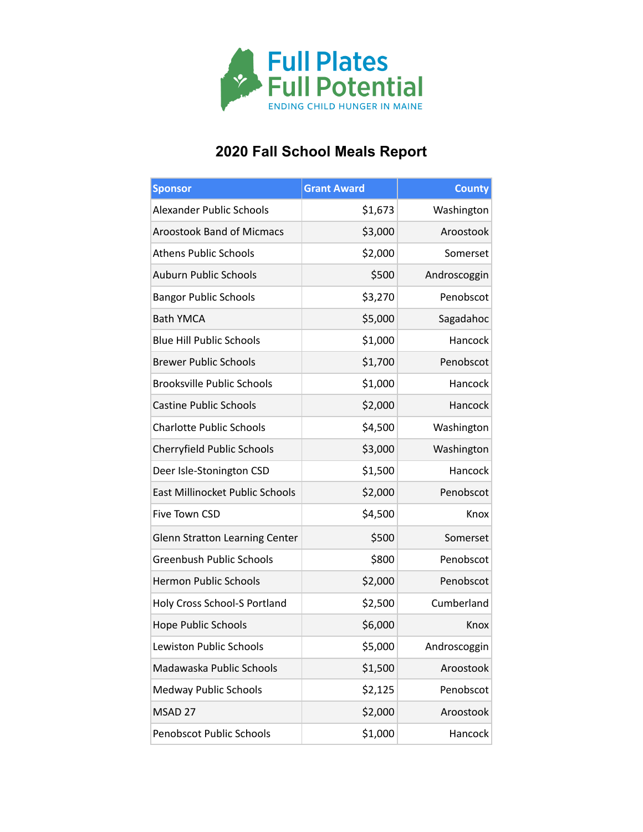

## **2020 Fall School Meals Report**

| <b>Sponsor</b>                        | <b>Grant Award</b> | <b>County</b> |
|---------------------------------------|--------------------|---------------|
| <b>Alexander Public Schools</b>       | \$1,673            | Washington    |
| <b>Aroostook Band of Micmacs</b>      | \$3,000            | Aroostook     |
| <b>Athens Public Schools</b>          | \$2,000            | Somerset      |
| <b>Auburn Public Schools</b>          | \$500              | Androscoggin  |
| <b>Bangor Public Schools</b>          | \$3,270            | Penobscot     |
| <b>Bath YMCA</b>                      | \$5,000            | Sagadahoc     |
| <b>Blue Hill Public Schools</b>       | \$1,000            | Hancock       |
| <b>Brewer Public Schools</b>          | \$1,700            | Penobscot     |
| <b>Brooksville Public Schools</b>     | \$1,000            | Hancock       |
| <b>Castine Public Schools</b>         | \$2,000            | Hancock       |
| <b>Charlotte Public Schools</b>       | \$4,500            | Washington    |
| Cherryfield Public Schools            | \$3,000            | Washington    |
| Deer Isle-Stonington CSD              | \$1,500            | Hancock       |
| East Millinocket Public Schools       | \$2,000            | Penobscot     |
| Five Town CSD                         | \$4,500            | Knox          |
| <b>Glenn Stratton Learning Center</b> | \$500              | Somerset      |
| <b>Greenbush Public Schools</b>       | \$800              | Penobscot     |
| <b>Hermon Public Schools</b>          | \$2,000            | Penobscot     |
| Holy Cross School-S Portland          | \$2,500            | Cumberland    |
| <b>Hope Public Schools</b>            | \$6,000            | Knox          |
| Lewiston Public Schools               | \$5,000            | Androscoggin  |
| Madawaska Public Schools              | \$1,500            | Aroostook     |
| <b>Medway Public Schools</b>          | \$2,125            | Penobscot     |
| MSAD 27                               | \$2,000            | Aroostook     |
| Penobscot Public Schools              | \$1,000            | Hancock       |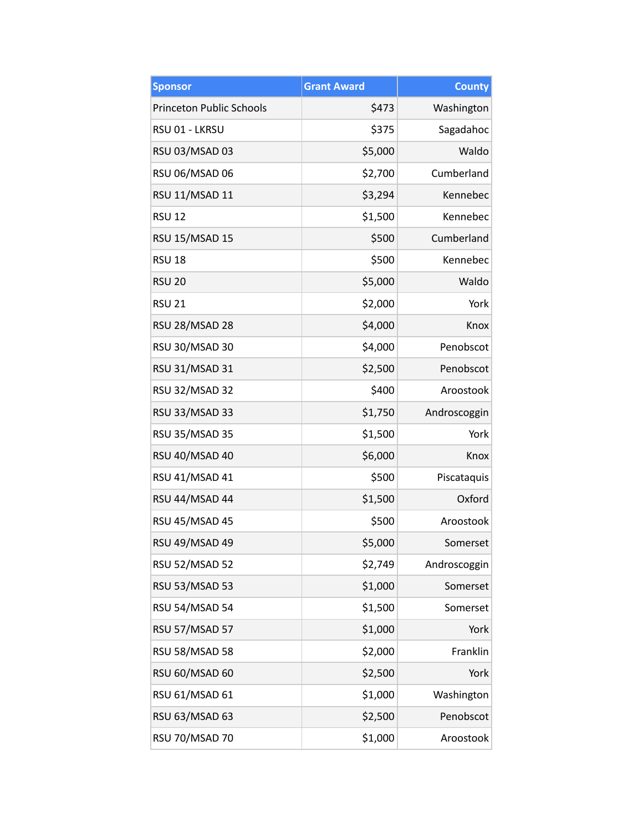| <b>Sponsor</b>                  | <b>Grant Award</b> | <b>County</b> |
|---------------------------------|--------------------|---------------|
| <b>Princeton Public Schools</b> | \$473              | Washington    |
| RSU 01 - LKRSU                  | \$375              | Sagadahoc     |
| RSU 03/MSAD 03                  | \$5,000            | Waldo         |
| RSU 06/MSAD 06                  | \$2,700            | Cumberland    |
| <b>RSU 11/MSAD 11</b>           | \$3,294            | Kennebec      |
| <b>RSU 12</b>                   | \$1,500            | Kennebec      |
| <b>RSU 15/MSAD 15</b>           | \$500              | Cumberland    |
| <b>RSU 18</b>                   | \$500              | Kennebec      |
| <b>RSU 20</b>                   | \$5,000            | Waldo         |
| <b>RSU 21</b>                   | \$2,000            | York          |
| RSU 28/MSAD 28                  | \$4,000            | Knox          |
| RSU 30/MSAD 30                  | \$4,000            | Penobscot     |
| <b>RSU 31/MSAD 31</b>           | \$2,500            | Penobscot     |
| <b>RSU 32/MSAD 32</b>           | \$400              | Aroostook     |
| RSU 33/MSAD 33                  | \$1,750            | Androscoggin  |
| <b>RSU 35/MSAD 35</b>           | \$1,500            | York          |
| RSU 40/MSAD 40                  | \$6,000            | Knox          |
| RSU 41/MSAD 41                  | \$500              | Piscataquis   |
| RSU 44/MSAD 44                  | \$1,500            | Oxford        |
| RSU 45/MSAD 45                  | \$500              | Aroostook     |
| RSU 49/MSAD 49                  | \$5,000            | Somerset      |
| <b>RSU 52/MSAD 52</b>           | \$2,749            | Androscoggin  |
| <b>RSU 53/MSAD 53</b>           | \$1,000            | Somerset      |
| <b>RSU 54/MSAD 54</b>           | \$1,500            | Somerset      |
| RSU 57/MSAD 57                  | \$1,000            | York          |
| RSU 58/MSAD 58                  | \$2,000            | Franklin      |
| RSU 60/MSAD 60                  | \$2,500            | York          |
| RSU 61/MSAD 61                  | \$1,000            | Washington    |
| RSU 63/MSAD 63                  | \$2,500            | Penobscot     |
| RSU 70/MSAD 70                  | \$1,000            | Aroostook     |